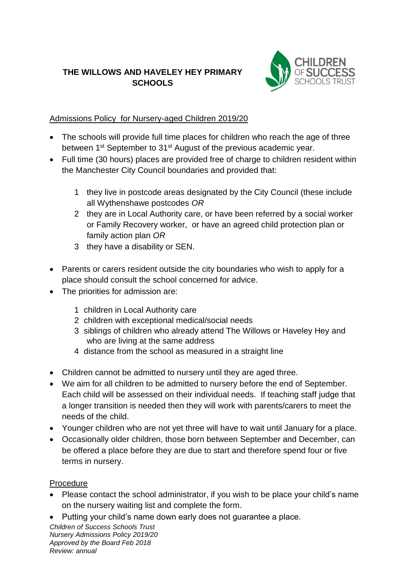## **THE WILLOWS AND HAVELEY HEY PRIMARY SCHOOLS**



## Admissions Policy for Nursery-aged Children 2019/20

- The schools will provide full time places for children who reach the age of three between 1<sup>st</sup> September to 31<sup>st</sup> August of the previous academic year.
- Full time (30 hours) places are provided free of charge to children resident within the Manchester City Council boundaries and provided that:
	- 1 they live in postcode areas designated by the City Council (these include all Wythenshawe postcodes *OR*
	- 2 they are in Local Authority care, or have been referred by a social worker or Family Recovery worker, or have an agreed child protection plan or family action plan *OR*
	- 3 they have a disability or SEN.
- Parents or carers resident outside the city boundaries who wish to apply for a place should consult the school concerned for advice.
- The priorities for admission are:
	- 1 children in Local Authority care
	- 2 children with exceptional medical/social needs
	- 3 siblings of children who already attend The Willows or Haveley Hey and who are living at the same address
	- 4 distance from the school as measured in a straight line
- Children cannot be admitted to nursery until they are aged three.
- We aim for all children to be admitted to nursery before the end of September. Each child will be assessed on their individual needs. If teaching staff judge that a longer transition is needed then they will work with parents/carers to meet the needs of the child.
- Younger children who are not yet three will have to wait until January for a place.
- Occasionally older children, those born between September and December, can be offered a place before they are due to start and therefore spend four or five terms in nursery.

## Procedure

- Please contact the school administrator, if you wish to be place your child's name on the nursery waiting list and complete the form.
- Putting your child's name down early does not guarantee a place.